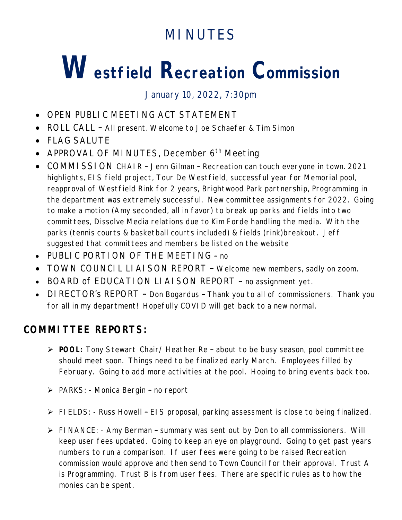## **MINUTES**

# **Westfield Recreation Commission**

January 10, 2022, 7:30pm

- OPEN PUBLIC MEETING ACT STATEMENT
- ROLL CALL All present. Welcome to Joe Schaefer & Tim Simon
- FLAG SALUTE
- APPROVAL OF MINUTES, December  $6<sup>th</sup>$  Meeting
- COMMISSION CHAIR Jenn Gilman Recreation can touch everyone in town. 2021 highlights, EIS field project, Tour De Westfield, successful year for Memorial pool, reapproval of Westfield Rink for 2 years, Brightwood Park partnership, Programming in the department was extremely successful. New committee assignments for 2022. Going to make a motion (Amy seconded, all in favor) to break up parks and fields into two committees, Dissolve Media relations due to Kim Forde handling the media. With the parks (tennis courts & basketball courts included) & fields (rink)breakout. Jeff suggested that committees and members be listed on the website
- PUBLIC PORTION OF THE MEETING no
- TOWN COUNCIL LIAISON REPORT Welcome new members, sadly on zoom.
- BOARD of EDUCATION LIAISON REPORT no assignment yet.
- DIRECTOR's REPORT Don Bogardus Thank you to all of commissioners. Thank you for all in my department! Hopefully COVID will get back to a new normal.

### **COMMITTEE REPORTS:**

- **POOL:** Tony Stewart Chair/ Heather Re about to be busy season, pool committee should meet soon. Things need to be finalized early March. Employees filled by February. Going to add more activities at the pool. Hoping to bring events back too.
- PARKS: Monica Bergin no report
- FIELDS: Russ Howell EIS proposal, parking assessment is close to being finalized.
- FINANCE: Amy Berman summary was sent out by Don to all commissioners. Will keep user fees updated. Going to keep an eye on playground. Going to get past years numbers to run a comparison. If user fees were going to be raised Recreation commission would approve and then send to Town Council for their approval. Trust A is Programming. Trust B is from user fees. There are specific rules as to how the monies can be spent.